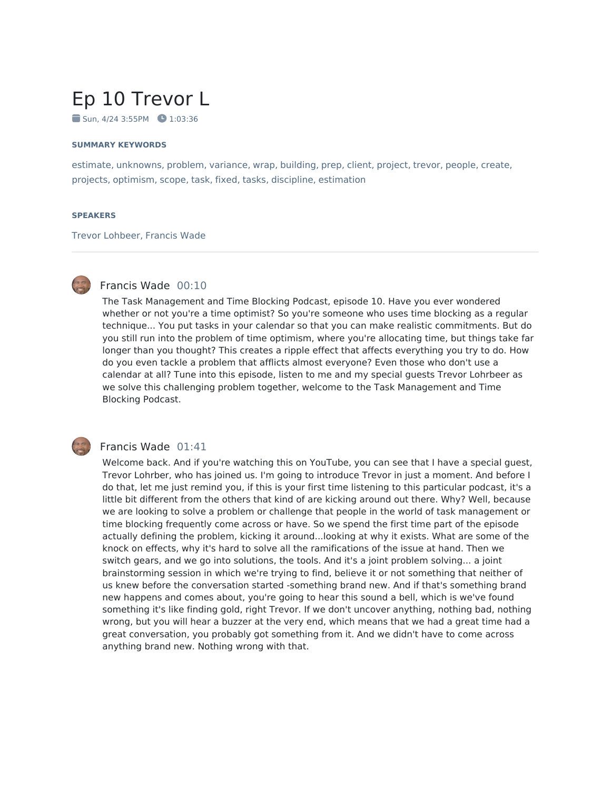# Ep 10 Trevor L

 $\blacksquare$  Sun, 4/24 3:55PM  $\blacksquare$  1:03:36

#### **SUMMARY KEYWORDS**

estimate, unknowns, problem, variance, wrap, building, prep, client, project, trevor, people, create, projects, optimism, scope, task, fixed, tasks, discipline, estimation

#### **SPEAKERS**

Trevor Lohbeer, Francis Wade



# Francis Wade 00:10

The Task Management and Time Blocking Podcast, episode 10. Have you ever wondered whether or not you're a time optimist? So you're someone who uses time blocking as a regular technique... You put tasks in your calendar so that you can make realistic commitments. But do you still run into the problem of time optimism, where you're allocating time, but things take far longer than you thought? This creates a ripple effect that affects everything you try to do. How do you even tackle a problem that afflicts almost everyone? Even those who don't use a calendar at all? Tune into this episode, listen to me and my special guests Trevor Lohrbeer as we solve this challenging problem together, welcome to the Task Management and Time Blocking Podcast.



#### Francis Wade 01:41

Welcome back. And if you're watching this on YouTube, you can see that I have a special guest, Trevor Lohrber, who has joined us. I'm going to introduce Trevor in just a moment. And before I do that, let me just remind you, if this is your first time listening to this particular podcast, it's a little bit different from the others that kind of are kicking around out there. Why? Well, because we are looking to solve a problem or challenge that people in the world of task management or time blocking frequently come across or have. So we spend the first time part of the episode actually defining the problem, kicking it around...looking at why it exists. What are some of the knock on effects, why it's hard to solve all the ramifications of the issue at hand. Then we switch gears, and we go into solutions, the tools. And it's a joint problem solving... a joint brainstorming session in which we're trying to find, believe it or not something that neither of us knew before the conversation started -something brand new. And if that's something brand new happens and comes about, you're going to hear this sound a bell, which is we've found something it's like finding gold, right Trevor. If we don't uncover anything, nothing bad, nothing wrong, but you will hear a buzzer at the very end, which means that we had a great time had a great conversation, you probably got something from it. And we didn't have to come across anything brand new. Nothing wrong with that.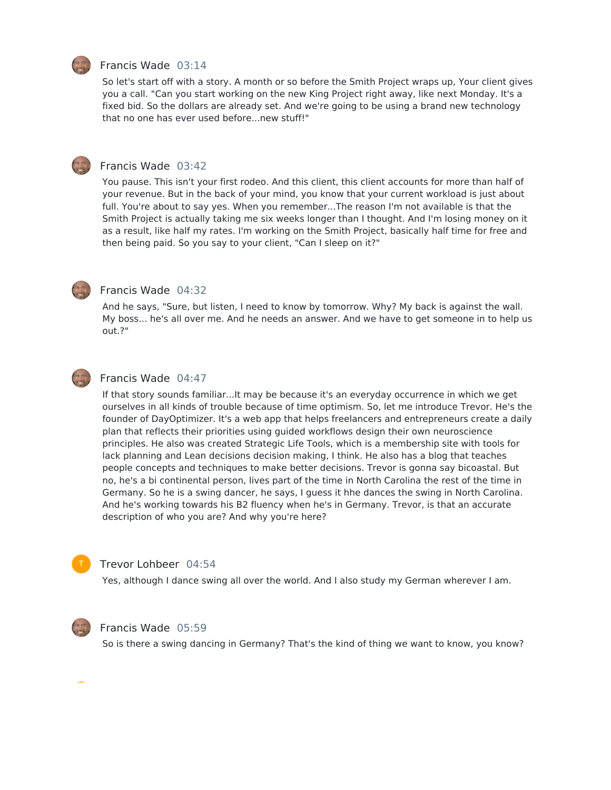

#### Francis Wade 03:14

So let's start off with a story. A month or so before the Smith Project wraps up, Your client gives you a call. "Can you start working on the new King Project right away, like next Monday. It's a fixed bid. So the dollars are already set. And we're going to be using a brand new technology that no one has ever used before...new stuff!"



#### Francis Wade 03:42

You pause. This isn't your first rodeo. And this client, this client accounts for more than half of your revenue. But in the back of your mind, you know that your current workload is just about full. You're about to say yes. When you remember...The reason I'm not available is that the Smith Project is actually taking me six weeks longer than I thought. And I'm losing money on it as a result, like half my rates. I'm working on the Smith Project, basically half time for free and then being paid. So you say to your client, "Can I sleep on it?"



# Francis Wade 04:32

And he says, "Sure, but listen, I need to know by tomorrow. Why? My back is against the wall. My boss... he's all over me. And he needs an answer. And we have to get someone in to help us out.?"



#### Francis Wade 04:47

If that story sounds familiar...It may be because it's an everyday occurrence in which we get ourselves in all kinds of trouble because of time optimism. So, let me introduce Trevor. He's the founder of DayOptimizer. It's a web app that helps freelancers and entrepreneurs create a daily plan that reflects their priorities using guided workflows design their own neuroscience principles. He also was created Strategic Life Tools, which is a membership site with tools for lack planning and Lean decisions decision making, I think. He also has a blog that teaches people concepts and techniques to make better decisions. Trevor is gonna say bicoastal. But no, he's a bi continental person, lives part of the time in North Carolina the rest of the time in Germany. So he is a swing dancer, he says, I guess it hhe dances the swing in North Carolina. And he's working towards his B2 fluency when he's in Germany. Trevor, is that an accurate description of who you are? And why you're here?



# Trevor Lohbeer 04:54

Yes, although I dance swing all over the world. And I also study my German wherever I am.



#### Francis Wade 05:59

So is there a swing dancing in Germany? That's the kind of thing we want to know, you know?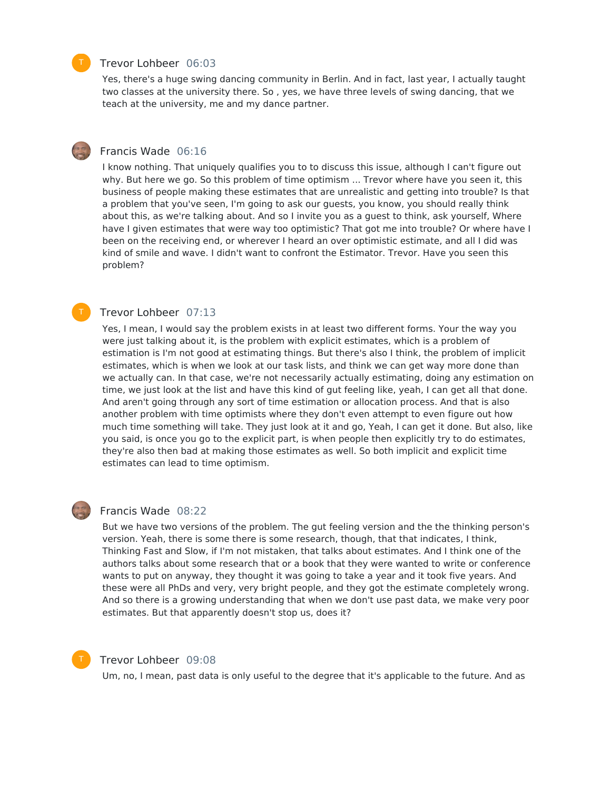#### Trevor Lohbeer 06:03

Yes, there's a huge swing dancing community in Berlin. And in fact, last year, I actually taught two classes at the university there. So , yes, we have three levels of swing dancing, that we teach at the university, me and my dance partner.

### Francis Wade 06:16

I know nothing. That uniquely qualifies you to to discuss this issue, although I can't figure out why. But here we go. So this problem of time optimism ... Trevor where have you seen it, this business of people making these estimates that are unrealistic and getting into trouble? Is that a problem that you've seen, I'm going to ask our guests, you know, you should really think about this, as we're talking about. And so I invite you as a guest to think, ask yourself, Where have I given estimates that were way too optimistic? That got me into trouble? Or where have I been on the receiving end, or wherever I heard an over optimistic estimate, and all I did was kind of smile and wave. I didn't want to confront the Estimator. Trevor. Have you seen this problem?

#### Trevor Lohbeer 07:13

Yes, I mean, I would say the problem exists in at least two different forms. Your the way you were just talking about it, is the problem with explicit estimates, which is a problem of estimation is I'm not good at estimating things. But there's also I think, the problem of implicit estimates, which is when we look at our task lists, and think we can get way more done than we actually can. In that case, we're not necessarily actually estimating, doing any estimation on time, we just look at the list and have this kind of gut feeling like, yeah, I can get all that done. And aren't going through any sort of time estimation or allocation process. And that is also another problem with time optimists where they don't even attempt to even figure out how much time something will take. They just look at it and go, Yeah, I can get it done. But also, like you said, is once you go to the explicit part, is when people then explicitly try to do estimates, they're also then bad at making those estimates as well. So both implicit and explicit time estimates can lead to time optimism.

#### Francis Wade 08:22

But we have two versions of the problem. The gut feeling version and the the thinking person's version. Yeah, there is some there is some research, though, that that indicates, I think, Thinking Fast and Slow, if I'm not mistaken, that talks about estimates. And I think one of the authors talks about some research that or a book that they were wanted to write or conference wants to put on anyway, they thought it was going to take a year and it took five years. And these were all PhDs and very, very bright people, and they got the estimate completely wrong. And so there is a growing understanding that when we don't use past data, we make very poor estimates. But that apparently doesn't stop us, does it?



# Trevor Lohbeer 09:08

Um, no, I mean, past data is only useful to the degree that it's applicable to the future. And as

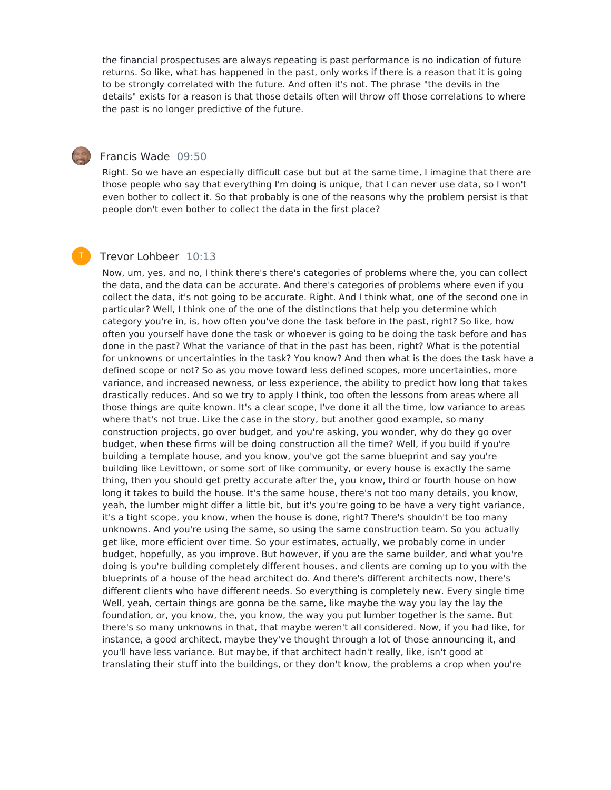the financial prospectuses are always repeating is past performance is no indication of future returns. So like, what has happened in the past, only works if there is a reason that it is going to be strongly correlated with the future. And often it's not. The phrase "the devils in the details" exists for a reason is that those details often will throw off those correlations to where the past is no longer predictive of the future.



T

# Francis Wade 09:50

Right. So we have an especially difficult case but but at the same time, I imagine that there are those people who say that everything I'm doing is unique, that I can never use data, so I won't even bother to collect it. So that probably is one of the reasons why the problem persist is that people don't even bother to collect the data in the first place?

#### Trevor Lohbeer 10:13

Now, um, yes, and no, I think there's there's categories of problems where the, you can collect the data, and the data can be accurate. And there's categories of problems where even if you collect the data, it's not going to be accurate. Right. And I think what, one of the second one in particular? Well, I think one of the one of the distinctions that help you determine which category you're in, is, how often you've done the task before in the past, right? So like, how often you yourself have done the task or whoever is going to be doing the task before and has done in the past? What the variance of that in the past has been, right? What is the potential for unknowns or uncertainties in the task? You know? And then what is the does the task have a defined scope or not? So as you move toward less defined scopes, more uncertainties, more variance, and increased newness, or less experience, the ability to predict how long that takes drastically reduces. And so we try to apply I think, too often the lessons from areas where all those things are quite known. It's a clear scope, I've done it all the time, low variance to areas where that's not true. Like the case in the story, but another good example, so many construction projects, go over budget, and you're asking, you wonder, why do they go over budget, when these firms will be doing construction all the time? Well, if you build if you're building a template house, and you know, you've got the same blueprint and say you're building like Levittown, or some sort of like community, or every house is exactly the same thing, then you should get pretty accurate after the, you know, third or fourth house on how long it takes to build the house. It's the same house, there's not too many details, you know, yeah, the lumber might differ a little bit, but it's you're going to be have a very tight variance, it's a tight scope, you know, when the house is done, right? There's shouldn't be too many unknowns. And you're using the same, so using the same construction team. So you actually get like, more efficient over time. So your estimates, actually, we probably come in under budget, hopefully, as you improve. But however, if you are the same builder, and what you're doing is you're building completely different houses, and clients are coming up to you with the blueprints of a house of the head architect do. And there's different architects now, there's different clients who have different needs. So everything is completely new. Every single time Well, yeah, certain things are gonna be the same, like maybe the way you lay the lay the foundation, or, you know, the, you know, the way you put lumber together is the same. But there's so many unknowns in that, that maybe weren't all considered. Now, if you had like, for instance, a good architect, maybe they've thought through a lot of those announcing it, and you'll have less variance. But maybe, if that architect hadn't really, like, isn't good at translating their stuff into the buildings, or they don't know, the problems a crop when you're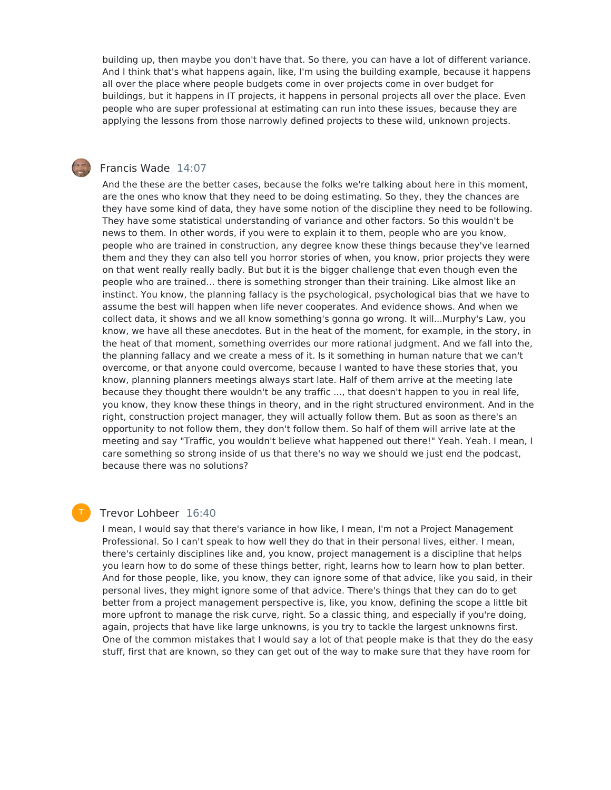building up, then maybe you don't have that. So there, you can have a lot of different variance. And I think that's what happens again, like, I'm using the building example, because it happens all over the place where people budgets come in over projects come in over budget for buildings, but it happens in IT projects, it happens in personal projects all over the place. Even people who are super professional at estimating can run into these issues, because they are applying the lessons from those narrowly defined projects to these wild, unknown projects.

#### Francis Wade 14:07

And the these are the better cases, because the folks we're talking about here in this moment, are the ones who know that they need to be doing estimating. So they, they the chances are they have some kind of data, they have some notion of the discipline they need to be following. They have some statistical understanding of variance and other factors. So this wouldn't be news to them. In other words, if you were to explain it to them, people who are you know, people who are trained in construction, any degree know these things because they've learned them and they they can also tell you horror stories of when, you know, prior projects they were on that went really really badly. But but it is the bigger challenge that even though even the people who are trained... there is something stronger than their training. Like almost like an instinct. You know, the planning fallacy is the psychological, psychological bias that we have to assume the best will happen when life never cooperates. And evidence shows. And when we collect data, it shows and we all know something's gonna go wrong. It will...Murphy's Law, you know, we have all these anecdotes. But in the heat of the moment, for example, in the story, in the heat of that moment, something overrides our more rational judgment. And we fall into the, the planning fallacy and we create a mess of it. Is it something in human nature that we can't overcome, or that anyone could overcome, because I wanted to have these stories that, you know, planning planners meetings always start late. Half of them arrive at the meeting late because they thought there wouldn't be any traffic ..., that doesn't happen to you in real life, you know, they know these things in theory, and in the right structured environment. And in the right, construction project manager, they will actually follow them. But as soon as there's an opportunity to not follow them, they don't follow them. So half of them will arrive late at the meeting and say "Traffic, you wouldn't believe what happened out there!" Yeah. Yeah. I mean, I care something so strong inside of us that there's no way we should we just end the podcast, because there was no solutions?

### Trevor Lohbeer 16:40

T

I mean, I would say that there's variance in how like, I mean, I'm not a Project Management Professional. So I can't speak to how well they do that in their personal lives, either. I mean, there's certainly disciplines like and, you know, project management is a discipline that helps you learn how to do some of these things better, right, learns how to learn how to plan better. And for those people, like, you know, they can ignore some of that advice, like you said, in their personal lives, they might ignore some of that advice. There's things that they can do to get better from a project management perspective is, like, you know, defining the scope a little bit more upfront to manage the risk curve, right. So a classic thing, and especially if you're doing, again, projects that have like large unknowns, is you try to tackle the largest unknowns first. One of the common mistakes that I would say a lot of that people make is that they do the easy stuff, first that are known, so they can get out of the way to make sure that they have room for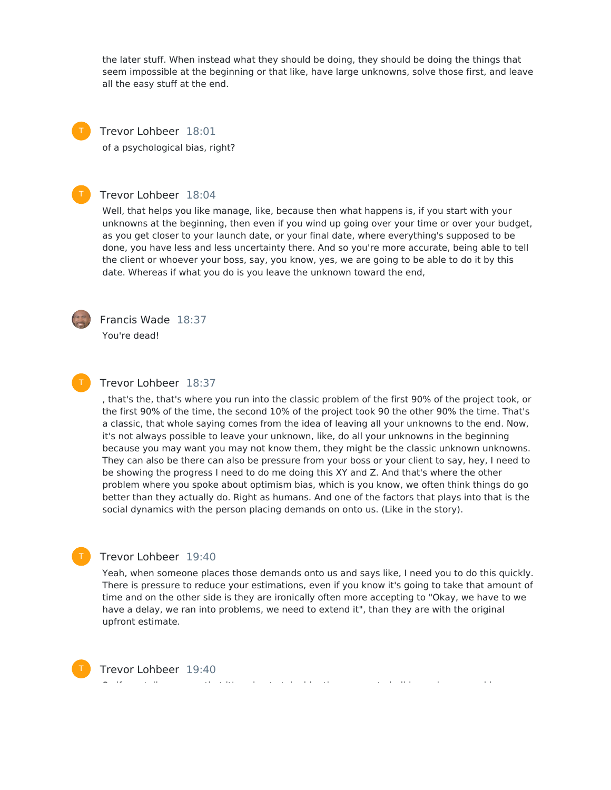the later stuff. When instead what they should be doing, they should be doing the things that seem impossible at the beginning or that like, have large unknowns, solve those first, and leave all the easy stuff at the end.



Trevor Lohbeer 18:01

of a psychological bias, right?

### Trevor Lohbeer 18:04

Well, that helps you like manage, like, because then what happens is, if you start with your unknowns at the beginning, then even if you wind up going over your time or over your budget, as you get closer to your launch date, or your final date, where everything's supposed to be done, you have less and less uncertainty there. And so you're more accurate, being able to tell the client or whoever your boss, say, you know, yes, we are going to be able to do it by this date. Whereas if what you do is you leave the unknown toward the end,



T

Francis Wade 18:37

You're dead!

#### Trevor Lohbeer 18:37

, that's the, that's where you run into the classic problem of the first 90% of the project took, or the first 90% of the time, the second 10% of the project took 90 the other 90% the time. That's a classic, that whole saying comes from the idea of leaving all your unknowns to the end. Now, it's not always possible to leave your unknown, like, do all your unknowns in the beginning because you may want you may not know them, they might be the classic unknown unknowns. They can also be there can also be pressure from your boss or your client to say, hey, I need to be showing the progress I need to do me doing this XY and Z. And that's where the other problem where you spoke about optimism bias, which is you know, we often think things do go better than they actually do. Right as humans. And one of the factors that plays into that is the social dynamics with the person placing demands on onto us. (Like in the story).

#### Trevor Lohbeer 19:40

Yeah, when someone places those demands onto us and says like, I need you to do this quickly. There is pressure to reduce your estimations, even if you know it's going to take that amount of time and on the other side is they are ironically often more accepting to "Okay, we have to we have a delay, we ran into problems, we need to extend it", than they are with the original upfront estimate.

Trevor Lohbeer 19:40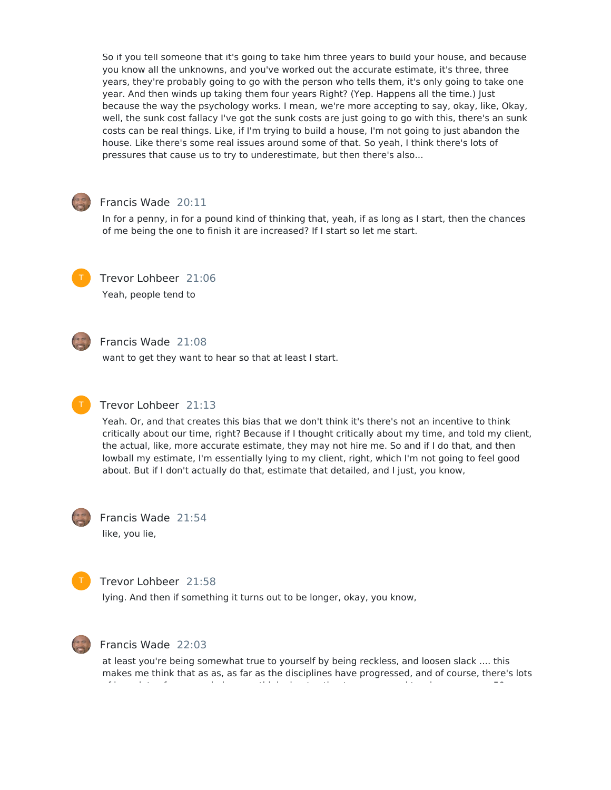So if you tell someone that it's going to take him three years to build your house, and because you know all the unknowns, and you've worked out the accurate estimate, it's three, three years, they're probably going to go with the person who tells them, it's only going to take one year. And then winds up taking them four years Right? (Yep. Happens all the time.) Just because the way the psychology works. I mean, we're more accepting to say, okay, like, Okay, well, the sunk cost fallacy I've got the sunk costs are just going to go with this, there's an sunk costs can be real things. Like, if I'm trying to build a house, I'm not going to just abandon the house. Like there's some real issues around some of that. So yeah, I think there's lots of pressures that cause us to try to underestimate, but then there's also...



# Francis Wade 20:11

In for a penny, in for a pound kind of thinking that, yeah, if as long as I start, then the chances of me being the one to finish it are increased? If I start so let me start.



Trevor Lohbeer 21:06 Yeah, people tend to



# Francis Wade 21:08

want to get they want to hear so that at least I start.



# Trevor Lohbeer 21:13

Yeah. Or, and that creates this bias that we don't think it's there's not an incentive to think critically about our time, right? Because if I thought critically about my time, and told my client, the actual, like, more accurate estimate, they may not hire me. So and if I do that, and then lowball my estimate, I'm essentially lying to my client, right, which I'm not going to feel good about. But if I don't actually do that, estimate that detailed, and I just, you know,



Francis Wade 21:54 like, you lie,



# Trevor Lohbeer 21:58

lying. And then if something it turns out to be longer, okay, you know,



#### Francis Wade 22:03

at least you're being somewhat true to yourself by being reckless, and loosen slack .... this makes me think that as as, as far as the disciplines have progressed, and of course, there's lots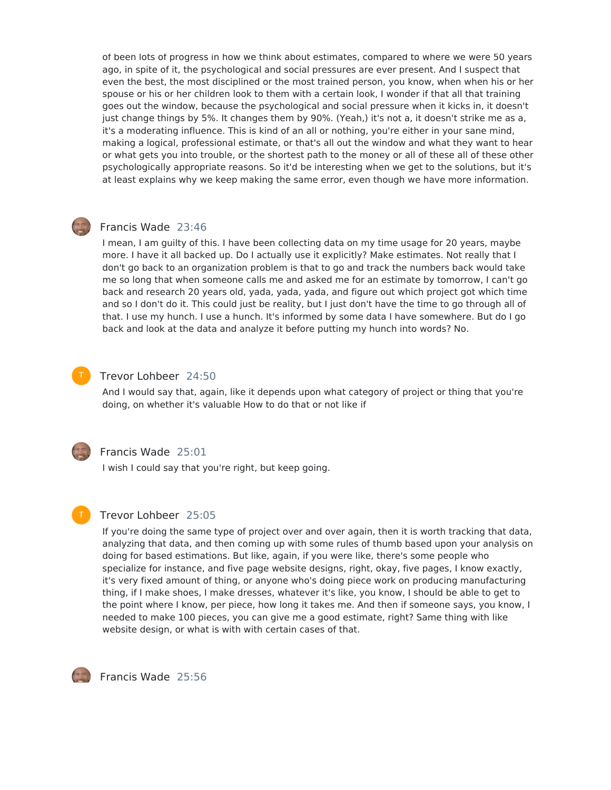of been lots of progress in how we think about estimates, compared to where we were 50 years ago, in spite of it, the psychological and social pressures are ever present. And I suspect that even the best, the most disciplined or the most trained person, you know, when when his or her spouse or his or her children look to them with a certain look, I wonder if that all that training goes out the window, because the psychological and social pressure when it kicks in, it doesn't just change things by 5%. It changes them by 90%. (Yeah,) it's not a, it doesn't strike me as a, it's a moderating influence. This is kind of an all or nothing, you're either in your sane mind, making a logical, professional estimate, or that's all out the window and what they want to hear or what gets you into trouble, or the shortest path to the money or all of these all of these other psychologically appropriate reasons. So it'd be interesting when we get to the solutions, but it's at least explains why we keep making the same error, even though we have more information.

# Francis Wade 23:46

I mean, I am guilty of this. I have been collecting data on my time usage for 20 years, maybe more. I have it all backed up. Do I actually use it explicitly? Make estimates. Not really that I don't go back to an organization problem is that to go and track the numbers back would take me so long that when someone calls me and asked me for an estimate by tomorrow, I can't go back and research 20 years old, yada, yada, yada, and figure out which project got which time and so I don't do it. This could just be reality, but I just don't have the time to go through all of that. I use my hunch. I use a hunch. It's informed by some data I have somewhere. But do I go back and look at the data and analyze it before putting my hunch into words? No.

# Trevor Lohbeer 24:50

And I would say that, again, like it depends upon what category of project or thing that you're doing, on whether it's valuable How to do that or not like if



# Francis Wade 25:01

I wish I could say that you're right, but keep going.

# T

# Trevor Lohbeer 25:05

If you're doing the same type of project over and over again, then it is worth tracking that data, analyzing that data, and then coming up with some rules of thumb based upon your analysis on doing for based estimations. But like, again, if you were like, there's some people who specialize for instance, and five page website designs, right, okay, five pages, I know exactly, it's very fixed amount of thing, or anyone who's doing piece work on producing manufacturing thing, if I make shoes, I make dresses, whatever it's like, you know, I should be able to get to the point where I know, per piece, how long it takes me. And then if someone says, you know, I needed to make 100 pieces, you can give me a good estimate, right? Same thing with like website design, or what is with with certain cases of that.



Francis Wade 25:56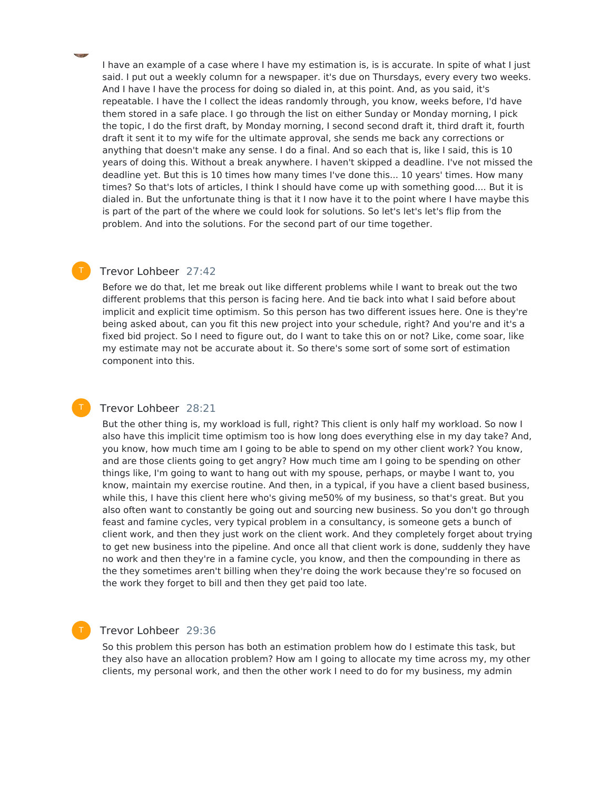I have an example of a case where I have my estimation is, is is accurate. In spite of what I just said. I put out a weekly column for a newspaper. it's due on Thursdays, every every two weeks. And I have I have the process for doing so dialed in, at this point. And, as you said, it's repeatable. I have the I collect the ideas randomly through, you know, weeks before, I'd have them stored in a safe place. I go through the list on either Sunday or Monday morning, I pick the topic, I do the first draft, by Monday morning, I second second draft it, third draft it, fourth draft it sent it to my wife for the ultimate approval, she sends me back any corrections or anything that doesn't make any sense. I do a final. And so each that is, like I said, this is 10 years of doing this. Without a break anywhere. I haven't skipped a deadline. I've not missed the deadline yet. But this is 10 times how many times I've done this... 10 years' times. How many times? So that's lots of articles, I think I should have come up with something good.... But it is dialed in. But the unfortunate thing is that it I now have it to the point where I have maybe this is part of the part of the where we could look for solutions. So let's let's let's flip from the problem. And into the solutions. For the second part of our time together.

# Trevor Lohbeer 27:42

Before we do that, let me break out like different problems while I want to break out the two different problems that this person is facing here. And tie back into what I said before about implicit and explicit time optimism. So this person has two different issues here. One is they're being asked about, can you fit this new project into your schedule, right? And you're and it's a fixed bid project. So I need to figure out, do I want to take this on or not? Like, come soar, like my estimate may not be accurate about it. So there's some sort of some sort of estimation component into this.

#### Trevor Lohbeer 28:21

But the other thing is, my workload is full, right? This client is only half my workload. So now I also have this implicit time optimism too is how long does everything else in my day take? And, you know, how much time am I going to be able to spend on my other client work? You know, and are those clients going to get angry? How much time am I going to be spending on other things like, I'm going to want to hang out with my spouse, perhaps, or maybe I want to, you know, maintain my exercise routine. And then, in a typical, if you have a client based business, while this, I have this client here who's giving me50% of my business, so that's great. But you also often want to constantly be going out and sourcing new business. So you don't go through feast and famine cycles, very typical problem in a consultancy, is someone gets a bunch of client work, and then they just work on the client work. And they completely forget about trying to get new business into the pipeline. And once all that client work is done, suddenly they have no work and then they're in a famine cycle, you know, and then the compounding in there as the they sometimes aren't billing when they're doing the work because they're so focused on the work they forget to bill and then they get paid too late.

# Trevor Lohbeer 29:36

T

So this problem this person has both an estimation problem how do I estimate this task, but they also have an allocation problem? How am I going to allocate my time across my, my other clients, my personal work, and then the other work I need to do for my business, my admin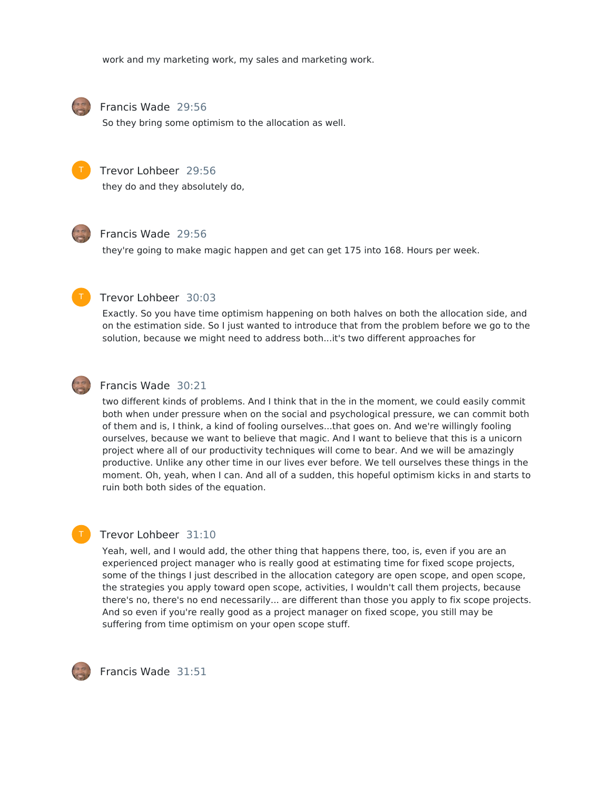work and my marketing work, my sales and marketing work.



### Francis Wade 29:56

So they bring some optimism to the allocation as well.



### Trevor Lohbeer 29:56

they do and they absolutely do,



#### Francis Wade 29:56

they're going to make magic happen and get can get 175 into 168. Hours per week.



#### Trevor Lohbeer 30:03

Exactly. So you have time optimism happening on both halves on both the allocation side, and on the estimation side. So I just wanted to introduce that from the problem before we go to the solution, because we might need to address both...it's two different approaches for



# Francis Wade 30:21

two different kinds of problems. And I think that in the in the moment, we could easily commit both when under pressure when on the social and psychological pressure, we can commit both of them and is, I think, a kind of fooling ourselves...that goes on. And we're willingly fooling ourselves, because we want to believe that magic. And I want to believe that this is a unicorn project where all of our productivity techniques will come to bear. And we will be amazingly productive. Unlike any other time in our lives ever before. We tell ourselves these things in the moment. Oh, yeah, when I can. And all of a sudden, this hopeful optimism kicks in and starts to ruin both both sides of the equation.

# T

# Trevor Lohbeer 31:10

Yeah, well, and I would add, the other thing that happens there, too, is, even if you are an experienced project manager who is really good at estimating time for fixed scope projects, some of the things I just described in the allocation category are open scope, and open scope, the strategies you apply toward open scope, activities, I wouldn't call them projects, because there's no, there's no end necessarily... are different than those you apply to fix scope projects. And so even if you're really good as a project manager on fixed scope, you still may be suffering from time optimism on your open scope stuff.



Francis Wade 31:51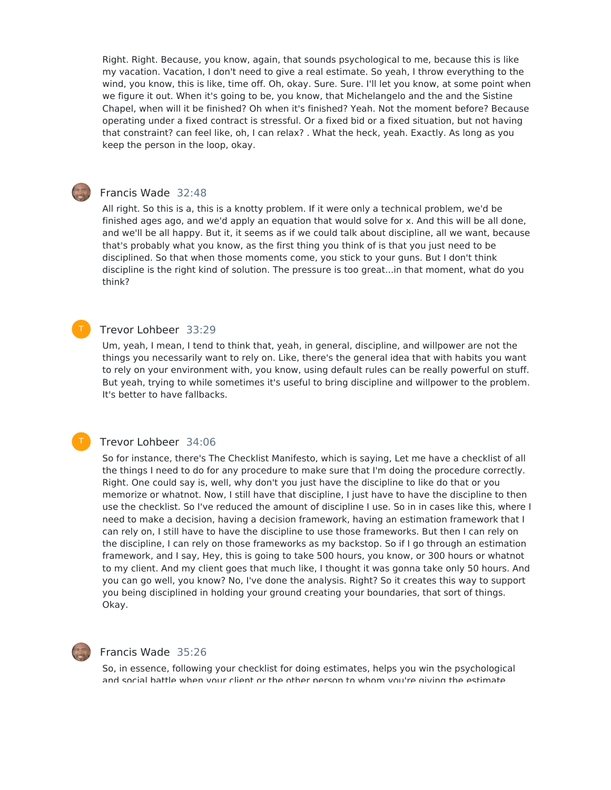Right. Right. Because, you know, again, that sounds psychological to me, because this is like my vacation. Vacation, I don't need to give a real estimate. So yeah, I throw everything to the wind, you know, this is like, time off. Oh, okay. Sure. Sure. I'll let you know, at some point when we figure it out. When it's going to be, you know, that Michelangelo and the and the Sistine Chapel, when will it be finished? Oh when it's finished? Yeah. Not the moment before? Because operating under a fixed contract is stressful. Or a fixed bid or a fixed situation, but not having that constraint? can feel like, oh, I can relax? . What the heck, yeah. Exactly. As long as you keep the person in the loop, okay.

### Francis Wade 32:48

All right. So this is a, this is a knotty problem. If it were only a technical problem, we'd be finished ages ago, and we'd apply an equation that would solve for x. And this will be all done, and we'll be all happy. But it, it seems as if we could talk about discipline, all we want, because that's probably what you know, as the first thing you think of is that you just need to be disciplined. So that when those moments come, you stick to your guns. But I don't think discipline is the right kind of solution. The pressure is too great...in that moment, what do you think?

# Trevor Lohbeer 33:29

Um, yeah, I mean, I tend to think that, yeah, in general, discipline, and willpower are not the things you necessarily want to rely on. Like, there's the general idea that with habits you want to rely on your environment with, you know, using default rules can be really powerful on stuff. But yeah, trying to while sometimes it's useful to bring discipline and willpower to the problem. It's better to have fallbacks.

#### Trevor Lohbeer 34:06

So for instance, there's The Checklist Manifesto, which is saying, Let me have a checklist of all the things I need to do for any procedure to make sure that I'm doing the procedure correctly. Right. One could say is, well, why don't you just have the discipline to like do that or you memorize or whatnot. Now, I still have that discipline, I just have to have the discipline to then use the checklist. So I've reduced the amount of discipline I use. So in in cases like this, where I need to make a decision, having a decision framework, having an estimation framework that I can rely on, I still have to have the discipline to use those frameworks. But then I can rely on the discipline, I can rely on those frameworks as my backstop. So if I go through an estimation framework, and I say, Hey, this is going to take 500 hours, you know, or 300 hours or whatnot to my client. And my client goes that much like, I thought it was gonna take only 50 hours. And you can go well, you know? No, I've done the analysis. Right? So it creates this way to support you being disciplined in holding your ground creating your boundaries, that sort of things. Okay.



T

## Francis Wade 35:26

So, in essence, following your checklist for doing estimates, helps you win the psychological and social battle when your client or the other person to whom you're giving the estimate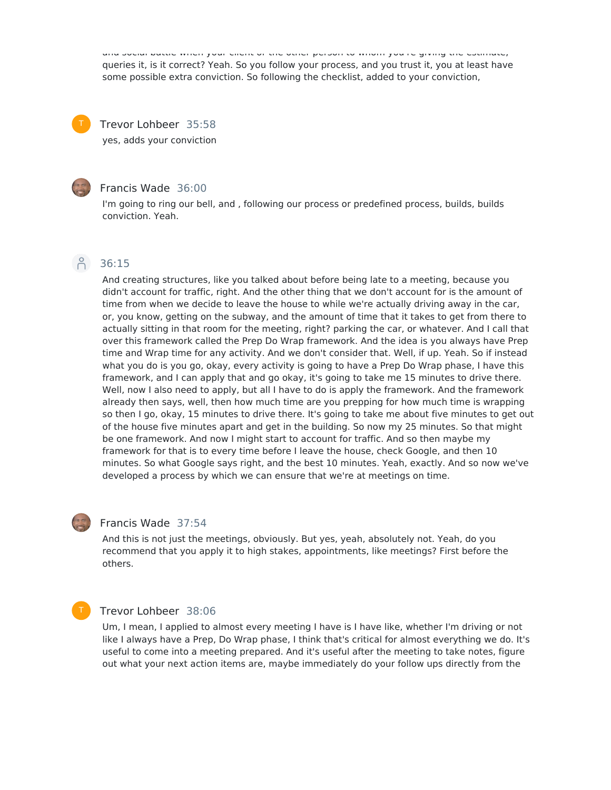and social battle when your client or the other person to whom you're giving the estimate, queries it, is it correct? Yeah. So you follow your process, and you trust it, you at least have some possible extra conviction. So following the checklist, added to your conviction,

Trevor Lohbeer 35:58 yes, adds your conviction



# Francis Wade 36:00

I'm going to ring our bell, and , following our process or predefined process, builds, builds conviction. Yeah.

# Pc 36:15

And creating structures, like you talked about before being late to a meeting, because you didn't account for traffic, right. And the other thing that we don't account for is the amount of time from when we decide to leave the house to while we're actually driving away in the car, or, you know, getting on the subway, and the amount of time that it takes to get from there to actually sitting in that room for the meeting, right? parking the car, or whatever. And I call that over this framework called the Prep Do Wrap framework. And the idea is you always have Prep time and Wrap time for any activity. And we don't consider that. Well, if up. Yeah. So if instead what you do is you go, okay, every activity is going to have a Prep Do Wrap phase, I have this framework, and I can apply that and go okay, it's going to take me 15 minutes to drive there. Well, now I also need to apply, but all I have to do is apply the framework. And the framework already then says, well, then how much time are you prepping for how much time is wrapping so then I go, okay, 15 minutes to drive there. It's going to take me about five minutes to get out of the house five minutes apart and get in the building. So now my 25 minutes. So that might be one framework. And now I might start to account for traffic. And so then maybe my framework for that is to every time before I leave the house, check Google, and then 10 minutes. So what Google says right, and the best 10 minutes. Yeah, exactly. And so now we've developed a process by which we can ensure that we're at meetings on time.



#### Francis Wade 37:54

And this is not just the meetings, obviously. But yes, yeah, absolutely not. Yeah, do you recommend that you apply it to high stakes, appointments, like meetings? First before the others.

# T

#### Trevor Lohbeer 38:06

Um, I mean, I applied to almost every meeting I have is I have like, whether I'm driving or not like I always have a Prep, Do Wrap phase, I think that's critical for almost everything we do. It's useful to come into a meeting prepared. And it's useful after the meeting to take notes, figure out what your next action items are, maybe immediately do your follow ups directly from the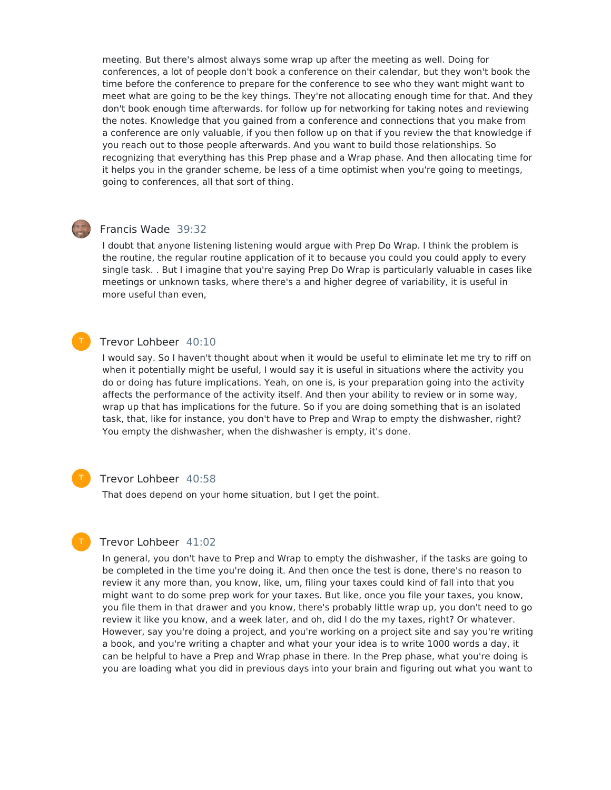meeting. But there's almost always some wrap up after the meeting as well. Doing for conferences, a lot of people don't book a conference on their calendar, but they won't book the time before the conference to prepare for the conference to see who they want might want to meet what are going to be the key things. They're not allocating enough time for that. And they don't book enough time afterwards. for follow up for networking for taking notes and reviewing the notes. Knowledge that you gained from a conference and connections that you make from a conference are only valuable, if you then follow up on that if you review the that knowledge if you reach out to those people afterwards. And you want to build those relationships. So recognizing that everything has this Prep phase and a Wrap phase. And then allocating time for it helps you in the grander scheme, be less of a time optimist when you're going to meetings, going to conferences, all that sort of thing.

# Francis Wade 39:32

I doubt that anyone listening listening would argue with Prep Do Wrap. I think the problem is the routine, the regular routine application of it to because you could you could apply to every single task. . But I imagine that you're saying Prep Do Wrap is particularly valuable in cases like meetings or unknown tasks, where there's a and higher degree of variability, it is useful in more useful than even,

# Trevor Lohbeer 40:10

I would say. So I haven't thought about when it would be useful to eliminate let me try to riff on when it potentially might be useful, I would say it is useful in situations where the activity you do or doing has future implications. Yeah, on one is, is your preparation going into the activity affects the performance of the activity itself. And then your ability to review or in some way, wrap up that has implications for the future. So if you are doing something that is an isolated task, that, like for instance, you don't have to Prep and Wrap to empty the dishwasher, right? You empty the dishwasher, when the dishwasher is empty, it's done.

T

#### Trevor Lohbeer 40:58

That does depend on your home situation, but I get the point.

# Trevor Lohbeer 41:02

In general, you don't have to Prep and Wrap to empty the dishwasher, if the tasks are going to be completed in the time you're doing it. And then once the test is done, there's no reason to review it any more than, you know, like, um, filing your taxes could kind of fall into that you might want to do some prep work for your taxes. But like, once you file your taxes, you know, you file them in that drawer and you know, there's probably little wrap up, you don't need to go review it like you know, and a week later, and oh, did I do the my taxes, right? Or whatever. However, say you're doing a project, and you're working on a project site and say you're writing a book, and you're writing a chapter and what your your idea is to write 1000 words a day, it can be helpful to have a Prep and Wrap phase in there. In the Prep phase, what you're doing is you are loading what you did in previous days into your brain and figuring out what you want to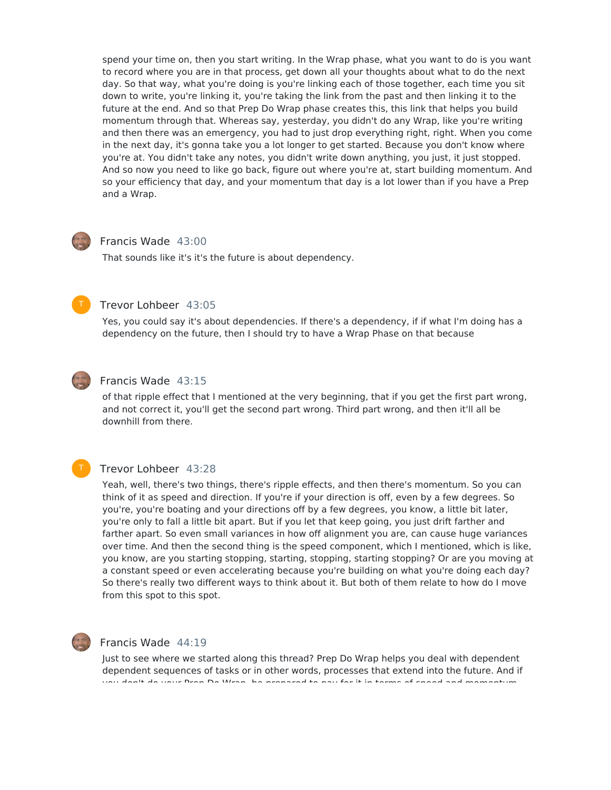spend your time on, then you start writing. In the Wrap phase, what you want to do is you want to record where you are in that process, get down all your thoughts about what to do the next day. So that way, what you're doing is you're linking each of those together, each time you sit down to write, you're linking it, you're taking the link from the past and then linking it to the future at the end. And so that Prep Do Wrap phase creates this, this link that helps you build momentum through that. Whereas say, yesterday, you didn't do any Wrap, like you're writing and then there was an emergency, you had to just drop everything right, right. When you come in the next day, it's gonna take you a lot longer to get started. Because you don't know where you're at. You didn't take any notes, you didn't write down anything, you just, it just stopped. And so now you need to like go back, figure out where you're at, start building momentum. And so your efficiency that day, and your momentum that day is a lot lower than if you have a Prep and a Wrap.



# Francis Wade 43:00

That sounds like it's it's the future is about dependency.



# Trevor Lohbeer 43:05

Yes, you could say it's about dependencies. If there's a dependency, if if what I'm doing has a dependency on the future, then I should try to have a Wrap Phase on that because



# Francis Wade 43:15

of that ripple effect that I mentioned at the very beginning, that if you get the first part wrong, and not correct it, you'll get the second part wrong. Third part wrong, and then it'll all be downhill from there.



# Trevor Lohbeer 43:28

Yeah, well, there's two things, there's ripple effects, and then there's momentum. So you can think of it as speed and direction. If you're if your direction is off, even by a few degrees. So you're, you're boating and your directions off by a few degrees, you know, a little bit later, you're only to fall a little bit apart. But if you let that keep going, you just drift farther and farther apart. So even small variances in how off alignment you are, can cause huge variances over time. And then the second thing is the speed component, which I mentioned, which is like, you know, are you starting stopping, starting, stopping, starting stopping? Or are you moving at a constant speed or even accelerating because you're building on what you're doing each day? So there's really two different ways to think about it. But both of them relate to how do I move from this spot to this spot.



## Francis Wade 44:19

Just to see where we started along this thread? Prep Do Wrap helps you deal with dependent dependent sequences of tasks or in other words, processes that extend into the future. And if you don't do your Prep Do Wrap, be prepared to pay for it in terms of speed and momentum.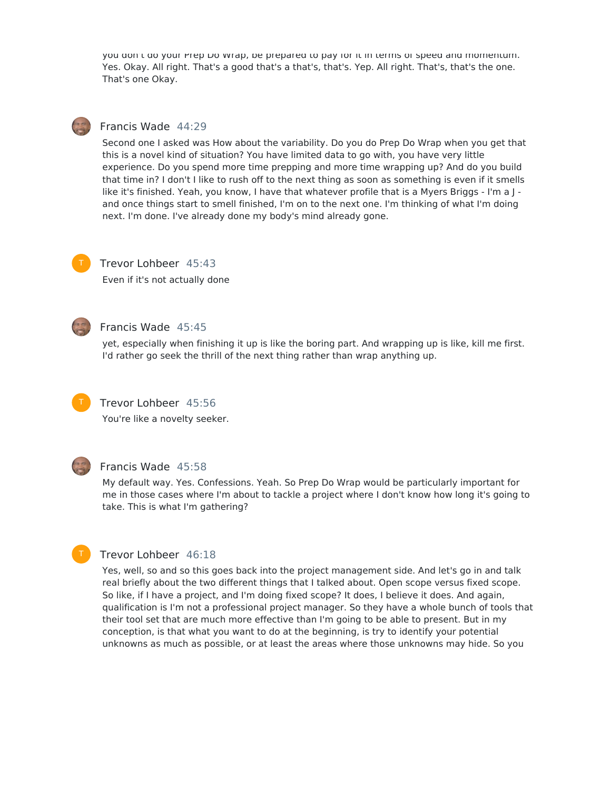you don't do your Prep Do Wrap, be prepared to pay for it in terms or speed and momentum. Yes. Okay. All right. That's a good that's a that's, that's. Yep. All right. That's, that's the one. That's one Okay.

# Francis Wade 44:29

Second one I asked was How about the variability. Do you do Prep Do Wrap when you get that this is a novel kind of situation? You have limited data to go with, you have very little experience. Do you spend more time prepping and more time wrapping up? And do you build that time in? I don't I like to rush off to the next thing as soon as something is even if it smells like it's finished. Yeah, you know, I have that whatever profile that is a Myers Briggs - I'm a J and once things start to smell finished, I'm on to the next one. I'm thinking of what I'm doing next. I'm done. I've already done my body's mind already gone.



# Trevor Lohbeer 45:43

Even if it's not actually done



# Francis Wade 45:45

yet, especially when finishing it up is like the boring part. And wrapping up is like, kill me first. I'd rather go seek the thrill of the next thing rather than wrap anything up.



# Trevor Lohbeer 45:56

You're like a novelty seeker.



# Francis Wade 45:58

My default way. Yes. Confessions. Yeah. So Prep Do Wrap would be particularly important for me in those cases where I'm about to tackle a project where I don't know how long it's going to take. This is what I'm gathering?



# Trevor Lohbeer 46:18

Yes, well, so and so this goes back into the project management side. And let's go in and talk real briefly about the two different things that I talked about. Open scope versus fixed scope. So like, if I have a project, and I'm doing fixed scope? It does, I believe it does. And again, qualification is I'm not a professional project manager. So they have a whole bunch of tools that their tool set that are much more effective than I'm going to be able to present. But in my conception, is that what you want to do at the beginning, is try to identify your potential unknowns as much as possible, or at least the areas where those unknowns may hide. So you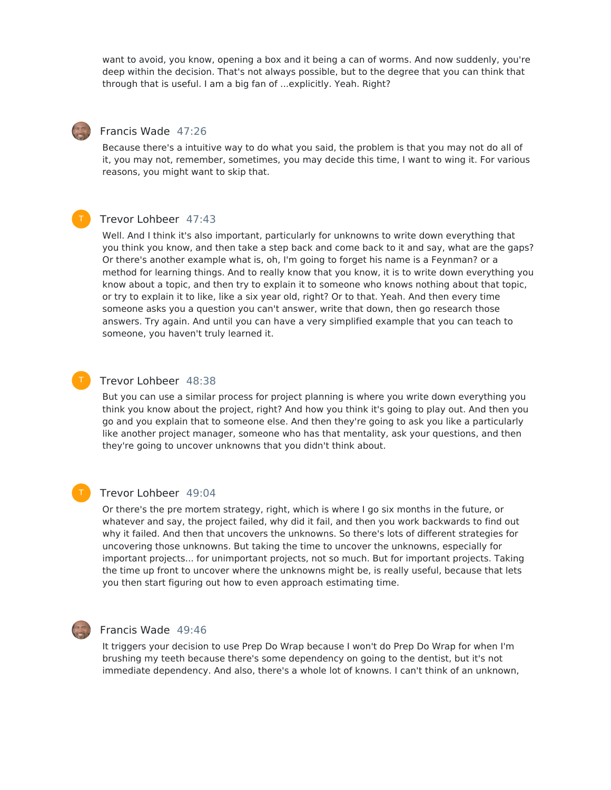want to avoid, you know, opening a box and it being a can of worms. And now suddenly, you're deep within the decision. That's not always possible, but to the degree that you can think that through that is useful. I am a big fan of ...explicitly. Yeah. Right?

# Francis Wade 47:26

Because there's a intuitive way to do what you said, the problem is that you may not do all of it, you may not, remember, sometimes, you may decide this time, I want to wing it. For various reasons, you might want to skip that.

## Trevor Lohbeer 47:43

Well. And I think it's also important, particularly for unknowns to write down everything that you think you know, and then take a step back and come back to it and say, what are the gaps? Or there's another example what is, oh, I'm going to forget his name is a Feynman? or a method for learning things. And to really know that you know, it is to write down everything you know about a topic, and then try to explain it to someone who knows nothing about that topic, or try to explain it to like, like a six year old, right? Or to that. Yeah. And then every time someone asks you a question you can't answer, write that down, then go research those answers. Try again. And until you can have a very simplified example that you can teach to someone, you haven't truly learned it.

#### Trevor Lohbeer 48:38

But you can use a similar process for project planning is where you write down everything you think you know about the project, right? And how you think it's going to play out. And then you go and you explain that to someone else. And then they're going to ask you like a particularly like another project manager, someone who has that mentality, ask your questions, and then they're going to uncover unknowns that you didn't think about.

# T

# Trevor Lohbeer 49:04

Or there's the pre mortem strategy, right, which is where I go six months in the future, or whatever and say, the project failed, why did it fail, and then you work backwards to find out why it failed. And then that uncovers the unknowns. So there's lots of different strategies for uncovering those unknowns. But taking the time to uncover the unknowns, especially for important projects... for unimportant projects, not so much. But for important projects. Taking the time up front to uncover where the unknowns might be, is really useful, because that lets you then start figuring out how to even approach estimating time.



#### Francis Wade 49:46

It triggers your decision to use Prep Do Wrap because I won't do Prep Do Wrap for when I'm brushing my teeth because there's some dependency on going to the dentist, but it's not immediate dependency. And also, there's a whole lot of knowns. I can't think of an unknown,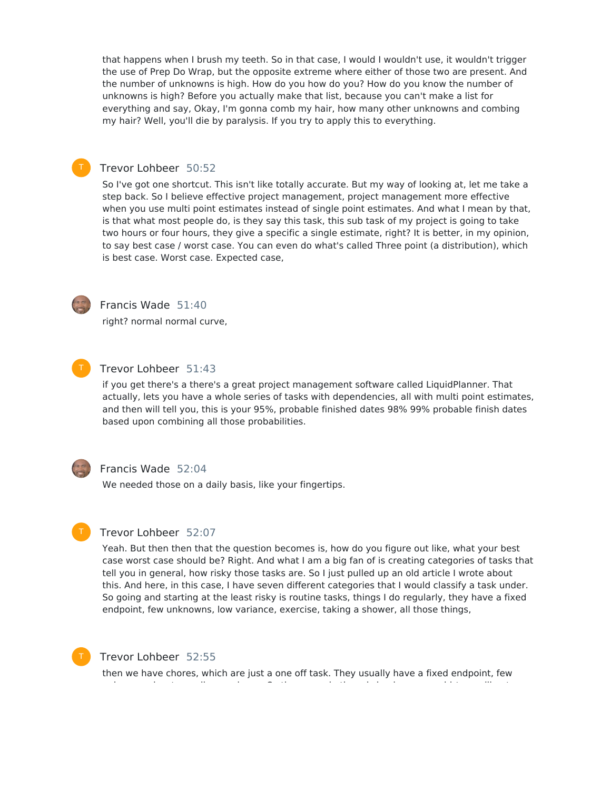that happens when I brush my teeth. So in that case, I would I wouldn't use, it wouldn't trigger the use of Prep Do Wrap, but the opposite extreme where either of those two are present. And the number of unknowns is high. How do you how do you? How do you know the number of unknowns is high? Before you actually make that list, because you can't make a list for everything and say, Okay, I'm gonna comb my hair, how many other unknowns and combing my hair? Well, you'll die by paralysis. If you try to apply this to everything.

# Trevor Lohbeer 50:52

So I've got one shortcut. This isn't like totally accurate. But my way of looking at, let me take a step back. So I believe effective project management, project management more effective when you use multi point estimates instead of single point estimates. And what I mean by that, is that what most people do, is they say this task, this sub task of my project is going to take two hours or four hours, they give a specific a single estimate, right? It is better, in my opinion, to say best case / worst case. You can even do what's called Three point (a distribution), which is best case. Worst case. Expected case,



# Francis Wade 51:40

right? normal normal curve,



# Trevor Lohbeer 51:43

if you get there's a there's a great project management software called LiquidPlanner. That actually, lets you have a whole series of tasks with dependencies, all with multi point estimates, and then will tell you, this is your 95%, probable finished dates 98% 99% probable finish dates based upon combining all those probabilities.



## Francis Wade 52:04

We needed those on a daily basis, like your fingertips.



#### Trevor Lohbeer 52:07

Yeah. But then then that the question becomes is, how do you figure out like, what your best case worst case should be? Right. And what I am a big fan of is creating categories of tasks that tell you in general, how risky those tasks are. So I just pulled up an old article I wrote about this. And here, in this case, I have seven different categories that I would classify a task under. So going and starting at the least risky is routine tasks, things I do regularly, they have a fixed endpoint, few unknowns, low variance, exercise, taking a shower, all those things,



#### Trevor Lohbeer 52:55

then we have chores, which are just a one off task. They usually have a fixed endpoint, few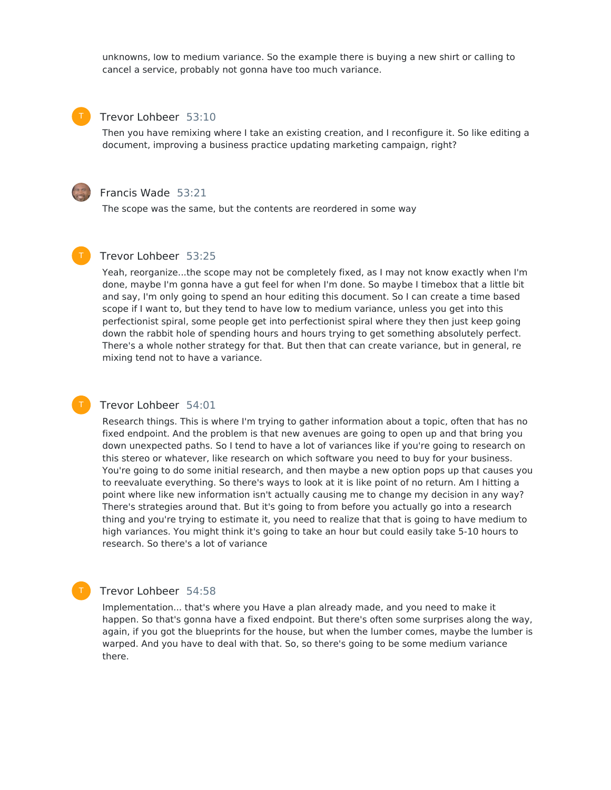unknowns, low to medium variance. So the example there is buying a new shirt or calling to cancel a service, probably not gonna have too much variance.

#### Trevor Lohbeer 53:10

Then you have remixing where I take an existing creation, and I reconfigure it. So like editing a document, improving a business practice updating marketing campaign, right?



#### Francis Wade 53:21

The scope was the same, but the contents are reordered in some way



T

# Trevor Lohbeer 53:25

Yeah, reorganize...the scope may not be completely fixed, as I may not know exactly when I'm done, maybe I'm gonna have a gut feel for when I'm done. So maybe I timebox that a little bit and say, I'm only going to spend an hour editing this document. So I can create a time based scope if I want to, but they tend to have low to medium variance, unless you get into this perfectionist spiral, some people get into perfectionist spiral where they then just keep going down the rabbit hole of spending hours and hours trying to get something absolutely perfect. There's a whole nother strategy for that. But then that can create variance, but in general, re mixing tend not to have a variance.

#### Trevor Lohbeer 54:01

Research things. This is where I'm trying to gather information about a topic, often that has no fixed endpoint. And the problem is that new avenues are going to open up and that bring you down unexpected paths. So I tend to have a lot of variances like if you're going to research on this stereo or whatever, like research on which software you need to buy for your business. You're going to do some initial research, and then maybe a new option pops up that causes you to reevaluate everything. So there's ways to look at it is like point of no return. Am I hitting a point where like new information isn't actually causing me to change my decision in any way? There's strategies around that. But it's going to from before you actually go into a research thing and you're trying to estimate it, you need to realize that that is going to have medium to high variances. You might think it's going to take an hour but could easily take 5-10 hours to research. So there's a lot of variance

#### Trevor Lohbeer 54:58

Implementation... that's where you Have a plan already made, and you need to make it happen. So that's gonna have a fixed endpoint. But there's often some surprises along the way, again, if you got the blueprints for the house, but when the lumber comes, maybe the lumber is warped. And you have to deal with that. So, so there's going to be some medium variance there.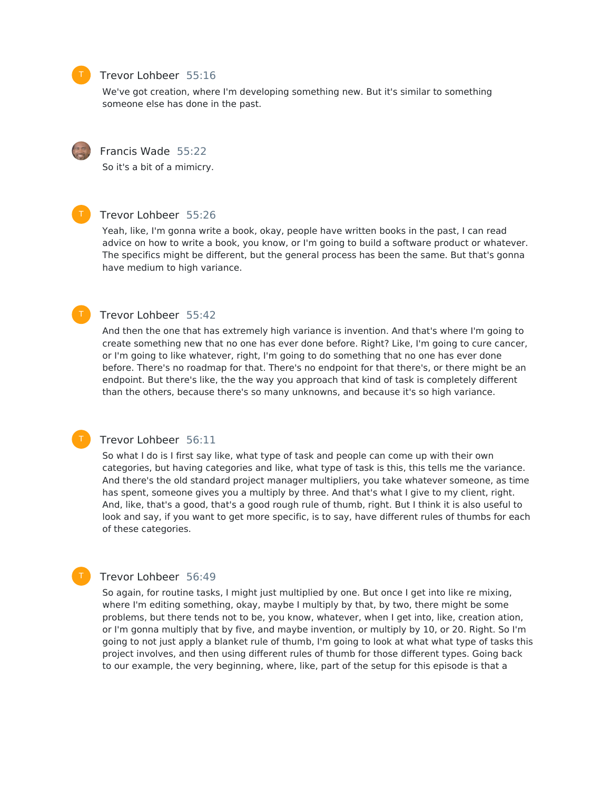

# Trevor Lohbeer 55:16

We've got creation, where I'm developing something new. But it's similar to something someone else has done in the past.



#### Francis Wade 55:22

So it's a bit of a mimicry.



T

### Trevor Lohbeer 55:26

Yeah, like, I'm gonna write a book, okay, people have written books in the past, I can read advice on how to write a book, you know, or I'm going to build a software product or whatever. The specifics might be different, but the general process has been the same. But that's gonna have medium to high variance.

### Trevor Lohbeer 55:42

And then the one that has extremely high variance is invention. And that's where I'm going to create something new that no one has ever done before. Right? Like, I'm going to cure cancer, or I'm going to like whatever, right, I'm going to do something that no one has ever done before. There's no roadmap for that. There's no endpoint for that there's, or there might be an endpoint. But there's like, the the way you approach that kind of task is completely different than the others, because there's so many unknowns, and because it's so high variance.

#### Trevor Lohbeer 56:11

So what I do is I first say like, what type of task and people can come up with their own categories, but having categories and like, what type of task is this, this tells me the variance. And there's the old standard project manager multipliers, you take whatever someone, as time has spent, someone gives you a multiply by three. And that's what I give to my client, right. And, like, that's a good, that's a good rough rule of thumb, right. But I think it is also useful to look and say, if you want to get more specific, is to say, have different rules of thumbs for each of these categories.

### Trevor Lohbeer 56:49

So again, for routine tasks, I might just multiplied by one. But once I get into like re mixing, where I'm editing something, okay, maybe I multiply by that, by two, there might be some problems, but there tends not to be, you know, whatever, when I get into, like, creation ation, or I'm gonna multiply that by five, and maybe invention, or multiply by 10, or 20. Right. So I'm going to not just apply a blanket rule of thumb, I'm going to look at what what type of tasks this project involves, and then using different rules of thumb for those different types. Going back to our example, the very beginning, where, like, part of the setup for this episode is that a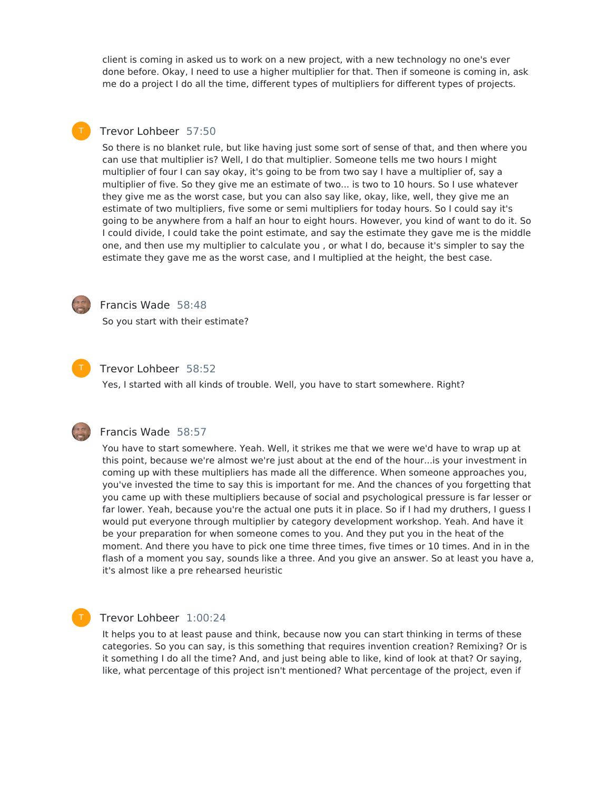client is coming in asked us to work on a new project, with a new technology no one's ever done before. Okay, I need to use a higher multiplier for that. Then if someone is coming in, ask me do a project I do all the time, different types of multipliers for different types of projects.

# Trevor Lohbeer 57:50

So there is no blanket rule, but like having just some sort of sense of that, and then where you can use that multiplier is? Well, I do that multiplier. Someone tells me two hours I might multiplier of four I can say okay, it's going to be from two say I have a multiplier of, say a multiplier of five. So they give me an estimate of two... is two to 10 hours. So I use whatever they give me as the worst case, but you can also say like, okay, like, well, they give me an estimate of two multipliers, five some or semi multipliers for today hours. So I could say it's going to be anywhere from a half an hour to eight hours. However, you kind of want to do it. So I could divide, I could take the point estimate, and say the estimate they gave me is the middle one, and then use my multiplier to calculate you , or what I do, because it's simpler to say the estimate they gave me as the worst case, and I multiplied at the height, the best case.



### Francis Wade 58:48

So you start with their estimate?



## Trevor Lohbeer 58:52

Yes, I started with all kinds of trouble. Well, you have to start somewhere. Right?



T

#### Francis Wade 58:57

You have to start somewhere. Yeah. Well, it strikes me that we were we'd have to wrap up at this point, because we're almost we're just about at the end of the hour...is your investment in coming up with these multipliers has made all the difference. When someone approaches you, you've invested the time to say this is important for me. And the chances of you forgetting that you came up with these multipliers because of social and psychological pressure is far lesser or far lower. Yeah, because you're the actual one puts it in place. So if I had my druthers, I guess I would put everyone through multiplier by category development workshop. Yeah. And have it be your preparation for when someone comes to you. And they put you in the heat of the moment. And there you have to pick one time three times, five times or 10 times. And in in the flash of a moment you say, sounds like a three. And you give an answer. So at least you have a, it's almost like a pre rehearsed heuristic

#### Trevor Lohbeer 1:00:24

It helps you to at least pause and think, because now you can start thinking in terms of these categories. So you can say, is this something that requires invention creation? Remixing? Or is it something I do all the time? And, and just being able to like, kind of look at that? Or saying, like, what percentage of this project isn't mentioned? What percentage of the project, even if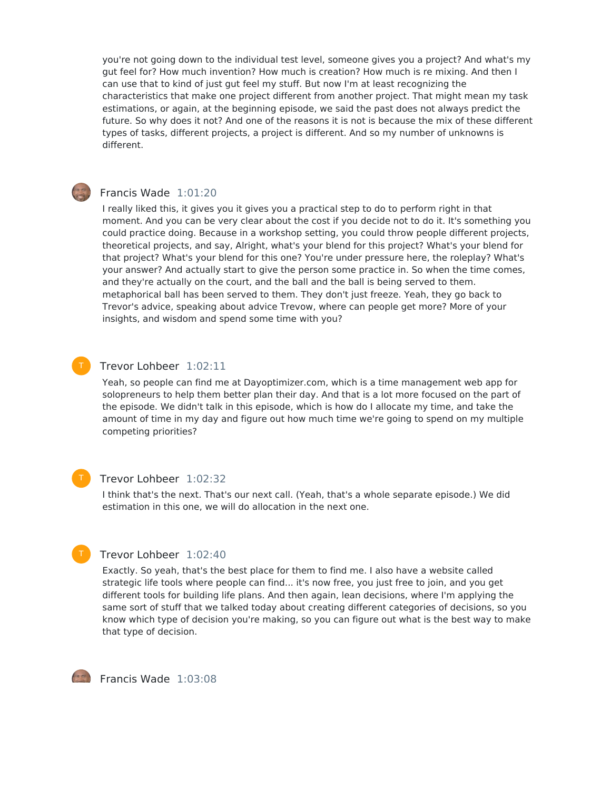you're not going down to the individual test level, someone gives you a project? And what's my gut feel for? How much invention? How much is creation? How much is re mixing. And then I can use that to kind of just gut feel my stuff. But now I'm at least recognizing the characteristics that make one project different from another project. That might mean my task estimations, or again, at the beginning episode, we said the past does not always predict the future. So why does it not? And one of the reasons it is not is because the mix of these different types of tasks, different projects, a project is different. And so my number of unknowns is different.

#### Francis Wade 1:01:20

I really liked this, it gives you it gives you a practical step to do to perform right in that moment. And you can be very clear about the cost if you decide not to do it. It's something you could practice doing. Because in a workshop setting, you could throw people different projects, theoretical projects, and say, Alright, what's your blend for this project? What's your blend for that project? What's your blend for this one? You're under pressure here, the roleplay? What's your answer? And actually start to give the person some practice in. So when the time comes, and they're actually on the court, and the ball and the ball is being served to them. metaphorical ball has been served to them. They don't just freeze. Yeah, they go back to Trevor's advice, speaking about advice Trevow, where can people get more? More of your insights, and wisdom and spend some time with you?

#### Trevor Lohbeer 1:02:11

Yeah, so people can find me at Dayoptimizer.com, which is a time management web app for solopreneurs to help them better plan their day. And that is a lot more focused on the part of the episode. We didn't talk in this episode, which is how do I allocate my time, and take the amount of time in my day and figure out how much time we're going to spend on my multiple competing priorities?

#### Trevor Lohbeer 1:02:32

I think that's the next. That's our next call. (Yeah, that's a whole separate episode.) We did estimation in this one, we will do allocation in the next one.



## Trevor Lohbeer 1:02:40

Exactly. So yeah, that's the best place for them to find me. I also have a website called strategic life tools where people can find... it's now free, you just free to join, and you get different tools for building life plans. And then again, lean decisions, where I'm applying the same sort of stuff that we talked today about creating different categories of decisions, so you know which type of decision you're making, so you can figure out what is the best way to make that type of decision.

 $F$ Francis Wade  $1:03:08$